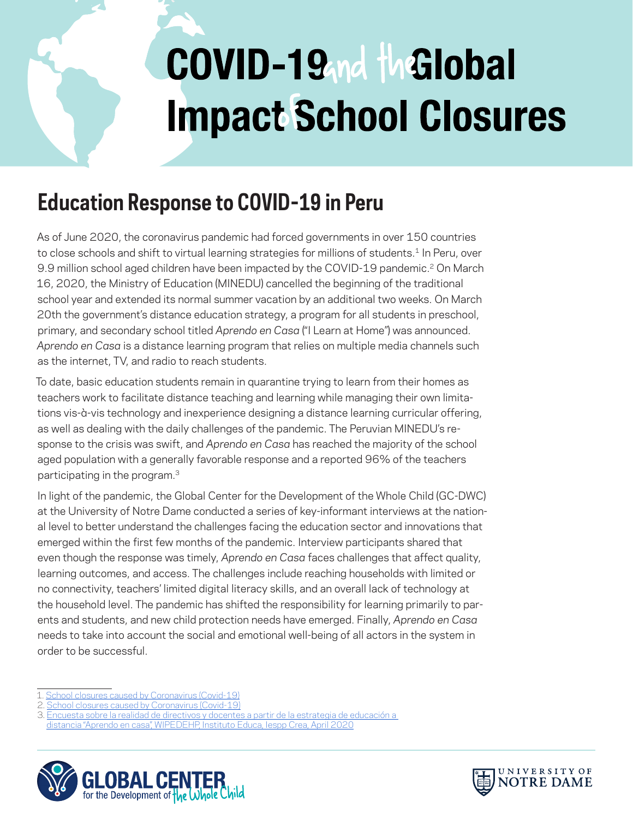# COVID-19 nd the Global **Impact School Closures**

## **Education Response to COVID-19 in Peru**

As of June 2020, the coronavirus pandemic had forced governments in over 150 countries to close schools and shift to virtual learning strategies for millions of students.<sup>1</sup> In Peru, over 9.9 million school aged children have been impacted by the COVID-19 pandemic.2 On March 16, 2020, the Ministry of Education (MINEDU) cancelled the beginning of the traditional school year and extended its normal summer vacation by an additional two weeks. On March 20th the government's distance education strategy, a program for all students in preschool, primary, and secondary school titled *Aprendo en Casa* ("I Learn at Home") was announced. *Aprendo en Casa* is a distance learning program that relies on multiple media channels such as the internet, TV, and radio to reach students.

To date, basic education students remain in quarantine trying to learn from their homes as teachers work to facilitate distance teaching and learning while managing their own limitations vis-à-vis technology and inexperience designing a distance learning curricular offering, as well as dealing with the daily challenges of the pandemic. The Peruvian MINEDU's response to the crisis was swift, and *Aprendo en Casa* has reached the majority of the school aged population with a generally favorable response and a reported 96% of the teachers participating in the program.3

In light of the pandemic, the Global Center for the Development of the Whole Child (GC-DWC) at the University of Notre Dame conducted a series of key-informant interviews at the national level to better understand the challenges facing the education sector and innovations that emerged within the first few months of the pandemic. Interview participants shared that even though the response was timely, *Aprendo en Casa* faces challenges that affect quality, learning outcomes, and access. The challenges include reaching households with limited or no connectivity, teachers' limited digital literacy skills, and an overall lack of technology at the household level. The pandemic has shifted the responsibility for learning primarily to parents and students, and new child protection needs have emerged. Finally, *Aprendo en Casa* needs to take into account the social and emotional well-being of all actors in the system in order to be successful.

1. [School closures caused by Coronavirus \(Covid-19\)](https://en.unesco.org/covid19/educationresponse)

[distancia "Aprendo en casa", WIPEDEHP, Instituto Educa, Iespp Crea, April 2020](https://issuu.com/iesppcrea3/docs/diagn_stico_r_pido_aprendoencasa_-_confluencia_ipe)





<sup>2.</sup> [School closures caused by Coronavirus \(Covid-19\)](https://en.unesco.org/covid19/educationresponse)

<sup>3.</sup> [Encuesta sobre la realidad de directivos y docentes a partir de la estrategia de educación a](https://issuu.com/iesppcrea3/docs/diagn_stico_r_pido_aprendoencasa_-_confluencia_ipe)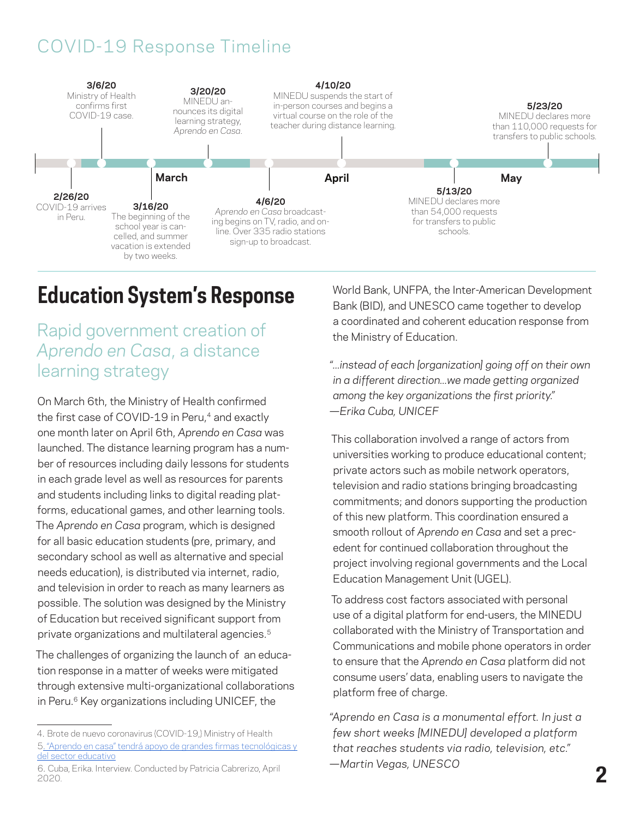#### COVID-19 Response Timeline



### **Education System's Response**

#### Rapid government creation of *Aprendo en Casa*, a distance learning strategy

On March 6th, the Ministry of Health confirmed the first case of COVID-19 in Peru,<sup>4</sup> and exactly one month later on April 6th, *Aprendo en Casa* was launched. The distance learning program has a number of resources including daily lessons for students in each grade level as well as resources for parents and students including links to digital reading platforms, educational games, and other learning tools. The *Aprendo en Casa* program, which is designed for all basic education students (pre, primary, and secondary school as well as alternative and special needs education), is distributed via internet, radio, and television in order to reach as many learners as possible. The solution was designed by the Ministry of Education but received significant support from private organizations and multilateral agencies.5

The challenges of organizing the launch of an education response in a matter of weeks were mitigated through extensive multi-organizational collaborations in Peru.<sup>6</sup> Key organizations including UNICEF, the

World Bank, UNFPA, the Inter-American Development Bank (BID), and UNESCO came together to develop a coordinated and coherent education response from the Ministry of Education.

*"...instead of each [organization] going off on their own in a different direction...we made getting organized among the key organizations the first priority." —Erika Cuba, UNICEF*

This collaboration involved a range of actors from universities working to produce educational content; private actors such as mobile network operators, television and radio stations bringing broadcasting commitments; and donors supporting the production of this new platform. This coordination ensured a smooth rollout of *Aprendo en Casa* and set a precedent for continued collaboration throughout the project involving regional governments and the Local Education Management Unit (UGEL).

To address cost factors associated with personal use of a digital platform for end-users, the MINEDU collaborated with the Ministry of Transportation and Communications and mobile phone operators in order to ensure that the *Aprendo en Casa* platform did not consume users' data, enabling users to navigate the platform free of charge.

*"Aprendo en Casa is a monumental effort. In just a few short weeks [MINEDU] developed a platform that reaches students via radio, television, etc." —Martin Vegas, UNESCO*

<sup>4.</sup> Brote de nuevo coronavirus (COVID-19,) Ministry of Health

<sup>5.</sup> ["Aprendo en casa" tendrá apoyo de grandes firmas tecnológicas y](https://www.gob.pe/institucion/minedu/noticias/111617-aprendo-en-casa-tendra-apoyo-de-grandes-firmas-tecnologicas-y-del-sector-educativo)  [del sector educativo](https://www.gob.pe/institucion/minedu/noticias/111617-aprendo-en-casa-tendra-apoyo-de-grandes-firmas-tecnologicas-y-del-sector-educativo)

<sup>6.</sup> Cuba, Erika. Interview. Conducted by Patricia Cabrerizo, April 2020.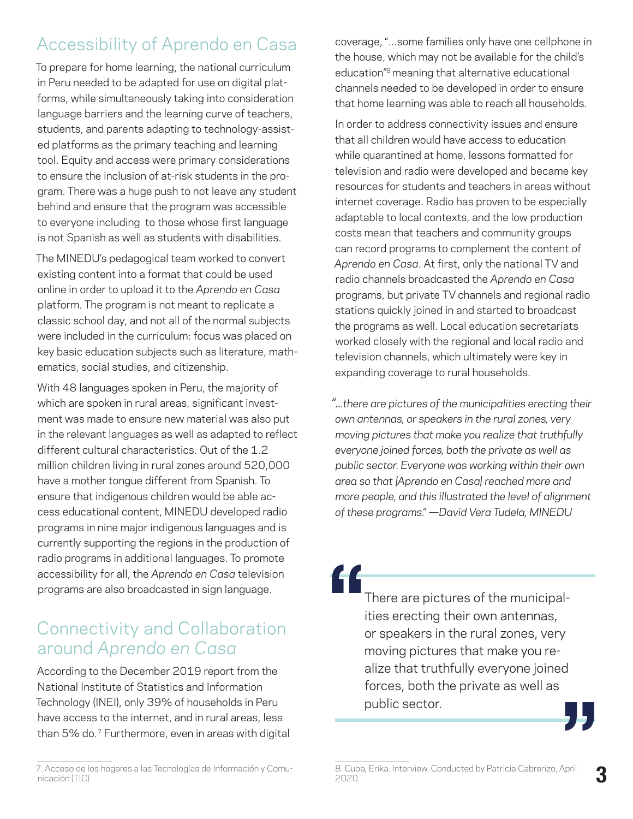#### Accessibility of Aprendo en Casa

To prepare for home learning, the national curriculum in Peru needed to be adapted for use on digital platforms, while simultaneously taking into consideration language barriers and the learning curve of teachers, students, and parents adapting to technology-assisted platforms as the primary teaching and learning tool. Equity and access were primary considerations to ensure the inclusion of at-risk students in the program. There was a huge push to not leave any student behind and ensure that the program was accessible to everyone including to those whose first language is not Spanish as well as students with disabilities.

The MINEDU's pedagogical team worked to convert existing content into a format that could be used online in order to upload it to the *Aprendo en Casa*  platform. The program is not meant to replicate a classic school day, and not all of the normal subjects were included in the curriculum: focus was placed on key basic education subjects such as literature, mathematics, social studies, and citizenship.

With 48 languages spoken in Peru, the majority of which are spoken in rural areas, significant investment was made to ensure new material was also put in the relevant languages as well as adapted to reflect different cultural characteristics. Out of the 1.2 million children living in rural zones around 520,000 have a mother tongue different from Spanish. To ensure that indigenous children would be able access educational content, MINEDU developed radio programs in nine major indigenous languages and is currently supporting the regions in the production of radio programs in additional languages. To promote accessibility for all, the *Aprendo en Casa* television programs are also broadcasted in sign language.

#### Connectivity and Collaboration around *Aprendo en Casa*

According to the December 2019 report from the National Institute of Statistics and Information Technology (INEI), only 39% of households in Peru have access to the internet, and in rural areas, less than 5% do.7 Furthermore, even in areas with digital coverage, "...some families only have one cellphone in the house, which may not be available for the child's education<sup>"8</sup> meaning that alternative educational channels needed to be developed in order to ensure that home learning was able to reach all households.

In order to address connectivity issues and ensure that all children would have access to education while quarantined at home, lessons formatted for television and radio were developed and became key resources for students and teachers in areas without internet coverage. Radio has proven to be especially adaptable to local contexts, and the low production costs mean that teachers and community groups can record programs to complement the content of *Aprendo en Casa*. At first, only the national TV and radio channels broadcasted the *Aprendo en Casa* programs, but private TV channels and regional radio stations quickly joined in and started to broadcast the programs as well. Local education secretariats worked closely with the regional and local radio and television channels, which ultimately were key in expanding coverage to rural households.

*"...there are pictures of the municipalities erecting their own antennas, or speakers in the rural zones, very moving pictures that make you realize that truthfully everyone joined forces, both the private as well as public sector. Everyone was working within their own area so that [Aprendo en Casa] reached more and more people, and this illustrated the level of alignment of these programs." —David Vera Tudela, MINEDU*

There are pictures of the municipalities erecting their own antennas, or speakers in the rural zones, very moving pictures that make you realize that truthfully everyone joined forces, both the private as well as public sector. **" "**

<sup>7.</sup> [Acceso de los hogares a las Tecnologías de Información y Comu](https://www.inei.gob.pe/media/MenuRecursivo/boletines/ticdiciembre.pdf)[nicación \(TIC\)](https://www.inei.gob.pe/media/MenuRecursivo/boletines/ticdiciembre.pdf)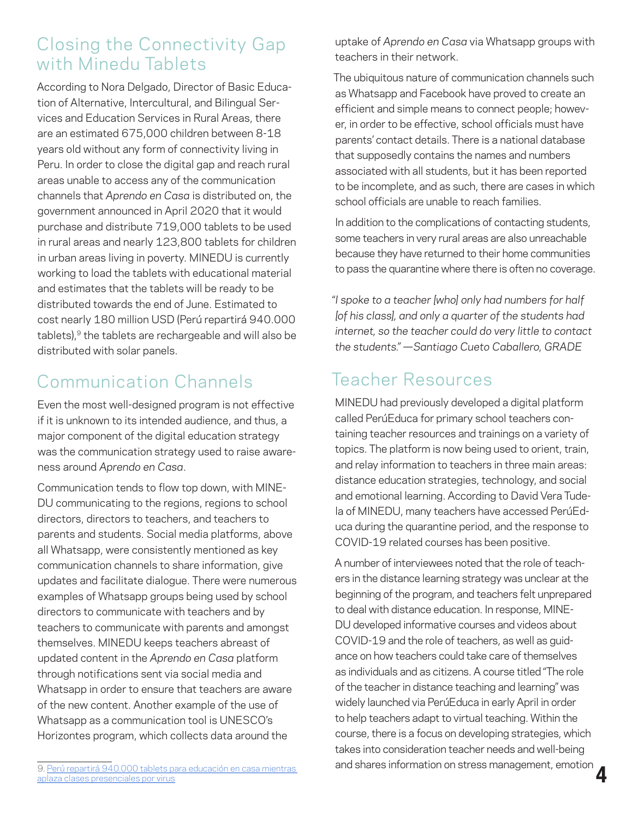#### Closing the Connectivity Gap with Minedu Tablets

According to Nora Delgado, Director of Basic Education of Alternative, Intercultural, and Bilingual Services and Education Services in Rural Areas, there are an estimated 675,000 children between 8-18 years old without any form of connectivity living in Peru. In order to close the digital gap and reach rural areas unable to access any of the communication channels that *Aprendo en Casa* is distributed on, the government announced in April 2020 that it would purchase and distribute 719,000 tablets to be used in rural areas and nearly 123,800 tablets for children in urban areas living in poverty. MINEDU is currently working to load the tablets with educational material and estimates that the tablets will be ready to be distributed towards the end of June. Estimated to cost nearly 180 million USD (Perú repartirá 940.000 tablets),<sup>9</sup> the tablets are rechargeable and will also be distributed with solar panels.

#### Communication Channels

Even the most well-designed program is not effective if it is unknown to its intended audience, and thus, a major component of the digital education strategy was the communication strategy used to raise awareness around *Aprendo en Casa*.

Communication tends to flow top down, with MINE-DU communicating to the regions, regions to school directors, directors to teachers, and teachers to parents and students. Social media platforms, above all Whatsapp, were consistently mentioned as key communication channels to share information, give updates and facilitate dialogue. There were numerous examples of Whatsapp groups being used by school directors to communicate with teachers and by teachers to communicate with parents and amongst themselves. MINEDU keeps teachers abreast of updated content in the *Aprendo en Casa* platform through notifications sent via social media and Whatsapp in order to ensure that teachers are aware of the new content. Another example of the use of Whatsapp as a communication tool is UNESCO's Horizontes program, which collects data around the

9. [Perú repartirá 940.000 tablets para educación en casa mientras](https://www.infobae.com/america/agencias/2020/04/18/peru-repartira-940000-tablets-para-educacion-en-casa-mientras-aplaza-clases-presenciales-por-virus/)  [aplaza clases presenciales por virus](https://www.infobae.com/america/agencias/2020/04/18/peru-repartira-940000-tablets-para-educacion-en-casa-mientras-aplaza-clases-presenciales-por-virus/)

uptake of *Aprendo en Casa* via Whatsapp groups with teachers in their network.

The ubiquitous nature of communication channels such as Whatsapp and Facebook have proved to create an efficient and simple means to connect people; however, in order to be effective, school officials must have parents' contact details. There is a national database that supposedly contains the names and numbers associated with all students, but it has been reported to be incomplete, and as such, there are cases in which school officials are unable to reach families.

In addition to the complications of contacting students, some teachers in very rural areas are also unreachable because they have returned to their home communities to pass the quarantine where there is often no coverage.

*"I spoke to a teacher [who] only had numbers for half [of his class], and only a quarter of the students had internet, so the teacher could do very little to contact the students." —Santiago Cueto Caballero, GRADE*

#### Teacher Resources

MINEDU had previously developed a digital platform called PerúEduca for primary school teachers containing teacher resources and trainings on a variety of topics. The platform is now being used to orient, train, and relay information to teachers in three main areas: distance education strategies, technology, and social and emotional learning. According to David Vera Tudela of MINEDU, many teachers have accessed PerúEduca during the quarantine period, and the response to COVID-19 related courses has been positive.

**4** A number of interviewees noted that the role of teachers in the distance learning strategy was unclear at the beginning of the program, and teachers felt unprepared to deal with distance education. In response, MINE-DU developed informative courses and videos about COVID-19 and the role of teachers, as well as guidance on how teachers could take care of themselves as individuals and as citizens. A course titled "The role of the teacher in distance teaching and learning" was widely launched via PerúEduca in early April in order to help teachers adapt to virtual teaching. Within the course, there is a focus on developing strategies, which takes into consideration teacher needs and well-being and shares information on stress management, emotion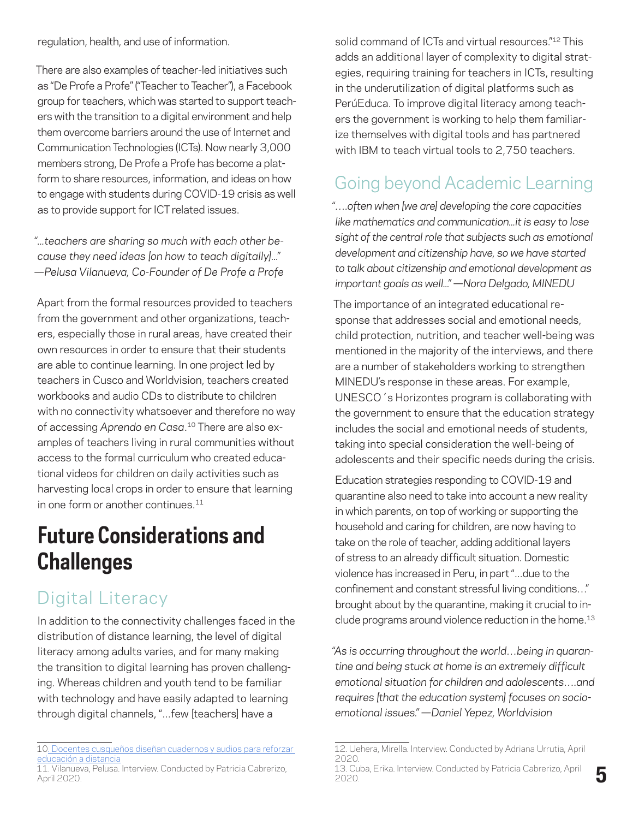regulation, health, and use of information.

There are also examples of teacher-led initiatives such as "De Profe a Profe" ("Teacher to Teacher"), a Facebook group for teachers, which was started to support teachers with the transition to a digital environment and help them overcome barriers around the use of Internet and Communication Technologies (ICTs). Now nearly 3,000 members strong, De Profe a Profe has become a platform to share resources, information, and ideas on how to engage with students during COVID-19 crisis as well as to provide support for ICT related issues.

*"...teachers are sharing so much with each other because they need ideas [on how to teach digitally]..." —Pelusa Vilanueva, Co-Founder of De Profe a Profe*

Apart from the formal resources provided to teachers from the government and other organizations, teachers, especially those in rural areas, have created their own resources in order to ensure that their students are able to continue learning. In one project led by teachers in Cusco and Worldvision, teachers created workbooks and audio CDs to distribute to children with no connectivity whatsoever and therefore no way of accessing *Aprendo en Casa*. 10 There are also examples of teachers living in rural communities without access to the formal curriculum who created educational videos for children on daily activities such as harvesting local crops in order to ensure that learning in one form or another continues.<sup>11</sup>

## **Future Considerations and Challenges**

#### Digital Literacy

In addition to the connectivity challenges faced in the distribution of distance learning, the level of digital literacy among adults varies, and for many making the transition to digital learning has proven challenging. Whereas children and youth tend to be familiar with technology and have easily adapted to learning through digital channels, "...few [teachers] have a

solid command of ICTs and virtual resources.<sup>"12</sup> This adds an additional layer of complexity to digital strategies, requiring training for teachers in ICTs, resulting in the underutilization of digital platforms such as PerúEduca. To improve digital literacy among teachers the government is working to help them familiarize themselves with digital tools and has partnered with IBM to teach virtual tools to 2,750 teachers.

#### Going beyond Academic Learning

*"….often when [we are] developing the core capacities like mathematics and communication...it is easy to lose sight of the central role that subjects such as emotional development and citizenship have, so we have started to talk about citizenship and emotional development as important goals as well..." —Nora Delgado, MINEDU*

The importance of an integrated educational response that addresses social and emotional needs, child protection, nutrition, and teacher well-being was mentioned in the majority of the interviews, and there are a number of stakeholders working to strengthen MINEDU's response in these areas. For example, UNESCO´s Horizontes program is collaborating with the government to ensure that the education strategy includes the social and emotional needs of students, taking into special consideration the well-being of adolescents and their specific needs during the crisis.

Education strategies responding to COVID-19 and quarantine also need to take into account a new reality in which parents, on top of working or supporting the household and caring for children, are now having to take on the role of teacher, adding additional layers of stress to an already difficult situation. Domestic violence has increased in Peru, in part "...due to the confinement and constant stressful living conditions…" brought about by the quarantine, making it crucial to include programs around violence reduction in the home.<sup>13</sup>

*"As is occurring throughout the world…being in quarantine and being stuck at home is an extremely difficult emotional situation for children and adolescents….and requires [that the education system] focuses on socioemotional issues." —Daniel Yepez, Worldvision*

<sup>10.</sup> [Docentes cusqueños diseñan cuadernos y audios para reforzar](https://andina.pe/agencia/noticia-docentes-cusquenos-disenan-cuadernos-y-audios-para-reforzar-educacion-a-distancia-799347.aspx)  [educación a distancia](https://andina.pe/agencia/noticia-docentes-cusquenos-disenan-cuadernos-y-audios-para-reforzar-educacion-a-distancia-799347.aspx)

<sup>11.</sup> Vilanueva, Pelusa. Interview. Conducted by Patricia Cabrerizo, April 2020.

<sup>12.</sup> Uehera, Mirella. Interview. Conducted by Adriana Urrutia, April 2020.

<sup>13.</sup> Cuba, Erika. Interview. Conducted by Patricia Cabrerizo, April 2020.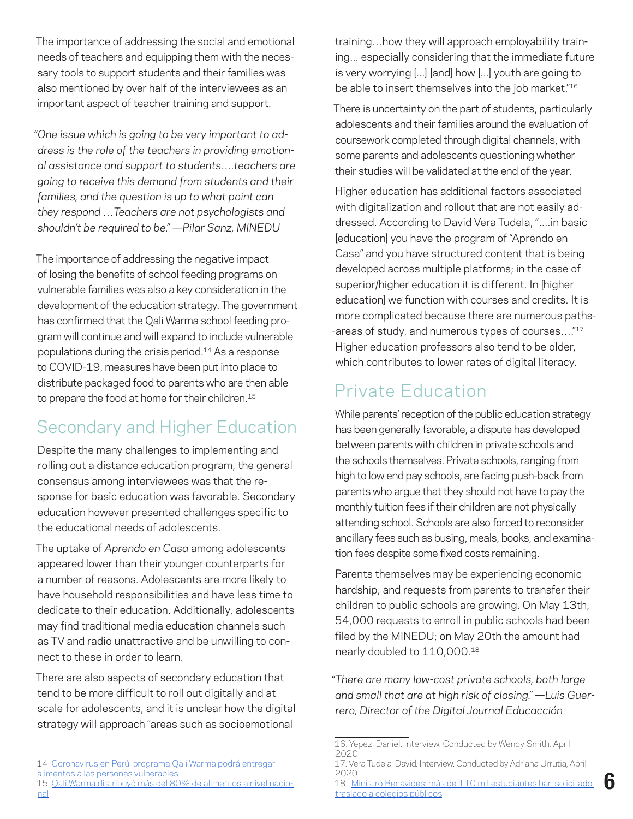The importance of addressing the social and emotional needs of teachers and equipping them with the necessary tools to support students and their families was also mentioned by over half of the interviewees as an important aspect of teacher training and support.

*"One issue which is going to be very important to address is the role of the teachers in providing emotional assistance and support to students….teachers are going to receive this demand from students and their families, and the question is up to what point can they respond …Teachers are not psychologists and shouldn't be required to be." —Pilar Sanz, MINEDU*

The importance of addressing the negative impact of losing the benefits of school feeding programs on vulnerable families was also a key consideration in the development of the education strategy. The government has confirmed that the Qali Warma school feeding program will continue and will expand to include vulnerable populations during the crisis period.14 As a response to COVID-19, measures have been put into place to distribute packaged food to parents who are then able to prepare the food at home for their children.<sup>15</sup>

#### Secondary and Higher Education

Despite the many challenges to implementing and rolling out a distance education program, the general consensus among interviewees was that the response for basic education was favorable. Secondary education however presented challenges specific to the educational needs of adolescents.

The uptake of *Aprendo en Casa* among adolescents appeared lower than their younger counterparts for a number of reasons. Adolescents are more likely to have household responsibilities and have less time to dedicate to their education. Additionally, adolescents may find traditional media education channels such as TV and radio unattractive and be unwilling to connect to these in order to learn.

There are also aspects of secondary education that tend to be more difficult to roll out digitally and at scale for adolescents, and it is unclear how the digital strategy will approach "areas such as socioemotional

training…how they will approach employability training... especially considering that the immediate future is very worrying [...] [and] how [...] youth are going to be able to insert themselves into the job market."16

There is uncertainty on the part of students, particularly adolescents and their families around the evaluation of coursework completed through digital channels, with some parents and adolescents questioning whether their studies will be validated at the end of the year.

Higher education has additional factors associated with digitalization and rollout that are not easily addressed. According to David Vera Tudela, "....in basic [education] you have the program of "Aprendo en Casa" and you have structured content that is being developed across multiple platforms; in the case of superior/higher education it is different. In [higher education] we function with courses and credits. It is more complicated because there are numerous paths- -areas of study, and numerous types of courses…."17 Higher education professors also tend to be older, which contributes to lower rates of digital literacy.

#### Private Education

While parents' reception of the public education strategy has been generally favorable, a dispute has developed between parents with children in private schools and the schools themselves. Private schools, ranging from high to low end pay schools, are facing push-back from parents who argue that they should not have to pay the monthly tuition fees if their children are not physically attending school. Schools are also forced to reconsider ancillary fees such as busing, meals, books, and examination fees despite some fixed costs remaining.

Parents themselves may be experiencing economic hardship, and requests from parents to transfer their children to public schools are growing. On May 13th, 54,000 requests to enroll in public schools had been filed by the MINEDU; on May 20th the amount had nearly doubled to 110,000.18

*"There are many low-cost private schools, both large and small that are at high risk of closing." —Luis Guerrero, Director of the Digital Journal Educacción* 

**6**

<sup>14.</sup> [Coronavirus en Perú: programa Qali Warma podrá entregar](https://elcomercio.pe/lima/sucesos/coronavirus-peru-programa-qali-warma-podra-entregar-alimentos-a-las-personas-vulnerables-nndc-noticia/?ref=ecr)  [alimentos a las personas vulnerables](https://elcomercio.pe/lima/sucesos/coronavirus-peru-programa-qali-warma-podra-entregar-alimentos-a-las-personas-vulnerables-nndc-noticia/?ref=ecr)

<sup>15.</sup> [Qali Warma distribuyó más del 80% de alimentos a nivel nacio](https://www.radionacional.com.pe/noticias/nacional/qali-warma-distribuyo-mas-del-80-de-alimentos-a-nivel-nacional)[nal](https://www.radionacional.com.pe/noticias/nacional/qali-warma-distribuyo-mas-del-80-de-alimentos-a-nivel-nacional)

<sup>16.</sup> Yepez, Daniel. Interview. Conducted by Wendy Smith, April 2020.

<sup>17.</sup> Vera Tudela, David. Interview. Conducted by Adriana Urrutia, April 2020.

<sup>18.</sup> [Ministro Benavides: más de 110 mil estudiantes han solicitado](https://www.gob.pe/institucion/minedu/noticias/164293-ministro-benavides-mas-de-110-mil-estudiantes-han-solicitado-traslado-a-colegios-publicos)  [traslado a colegios públicos](https://www.gob.pe/institucion/minedu/noticias/164293-ministro-benavides-mas-de-110-mil-estudiantes-han-solicitado-traslado-a-colegios-publicos)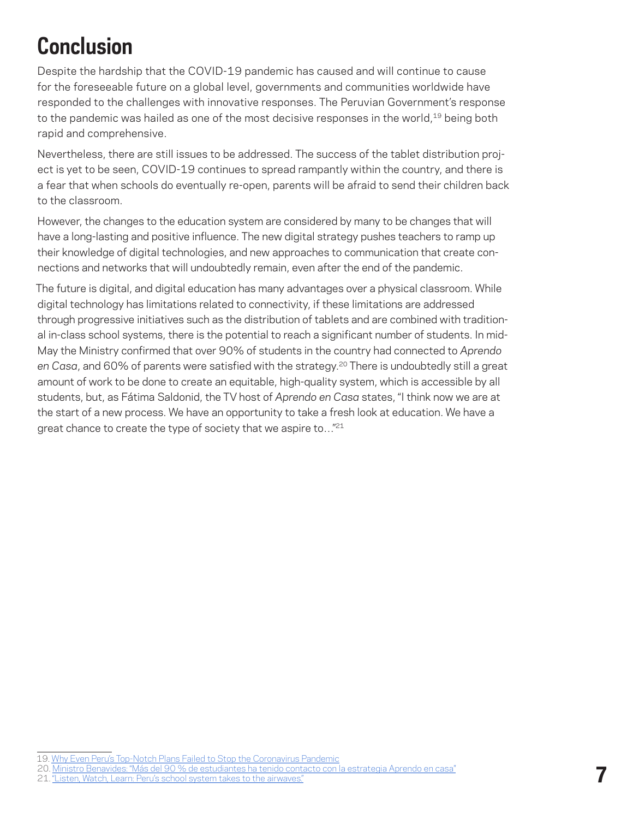# **Conclusion**

Despite the hardship that the COVID-19 pandemic has caused and will continue to cause for the foreseeable future on a global level, governments and communities worldwide have responded to the challenges with innovative responses. The Peruvian Government's response to the pandemic was hailed as one of the most decisive responses in the world,<sup>19</sup> being both rapid and comprehensive.

Nevertheless, there are still issues to be addressed. The success of the tablet distribution project is yet to be seen, COVID-19 continues to spread rampantly within the country, and there is a fear that when schools do eventually re-open, parents will be afraid to send their children back to the classroom.

However, the changes to the education system are considered by many to be changes that will have a long-lasting and positive influence. The new digital strategy pushes teachers to ramp up their knowledge of digital technologies, and new approaches to communication that create connections and networks that will undoubtedly remain, even after the end of the pandemic.

The future is digital, and digital education has many advantages over a physical classroom. While digital technology has limitations related to connectivity, if these limitations are addressed through progressive initiatives such as the distribution of tablets and are combined with traditional in-class school systems, there is the potential to reach a significant number of students. In mid-May the Ministry confirmed that over 90% of students in the country had connected to *Aprendo*  en Casa, and 60% of parents were satisfied with the strategy.<sup>20</sup> There is undoubtedly still a great amount of work to be done to create an equitable, high-quality system, which is accessible by all students, but, as Fátima Saldonid, the TV host of *Aprendo en Casa* states, "I think now we are at the start of a new process. We have an opportunity to take a fresh look at education. We have a great chance to create the type of society that we aspire to..."<sup>21</sup>

<sup>19.</sup> [Why Even Peru's Top-Notch Plans Failed to Stop the Coronavirus Pandemic](https://www.worldpoliticsreview.com/articles/28795/why-even-peru-s-top-notch-plans-failed-to-stop-the-coronavirus-pandemic)

<sup>20.</sup> [Ministro Benavides: "Más del 90 % de estudiantes ha tenido contacto con la estrategia Aprendo en casa"](https://www.gob.pe/institucion/minedu/noticias/154637-ministro-benavides-mas-del-90-de-estudiantes-ha-tenido-contacto-con-la-estrategia-aprendo-en-casa)

<sup>21. &</sup>quot;Listen, Watch, Learn: Peru's school system takes to the airwayes."